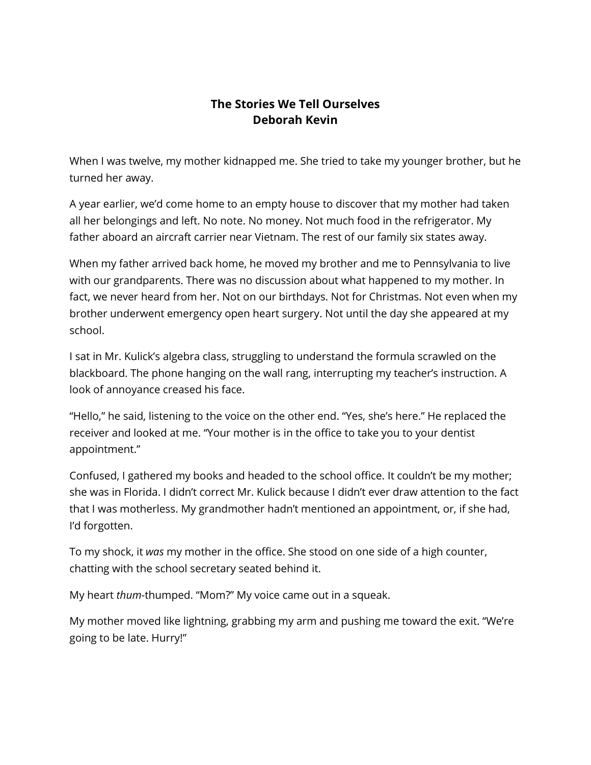## **The Stories We Tell Ourselves Deborah Kevin**

When I was twelve, my mother kidnapped me. She tried to take my younger brother, but he turned her away.

A year earlier, we'd come home to an empty house to discover that my mother had taken all her belongings and left. No note. No money. Not much food in the refrigerator. My father aboard an aircraft carrier near Vietnam. The rest of our family six states away.

When my father arrived back home, he moved my brother and me to Pennsylvania to live with our grandparents. There was no discussion about what happened to my mother. In fact, we never heard from her. Not on our birthdays. Not for Christmas. Not even when my brother underwent emergency open heart surgery. Not until the day she appeared at my school.

I sat in Mr. Kulick's algebra class, struggling to understand the formula scrawled on the blackboard. The phone hanging on the wall rang, interrupting my teacher's instruction. A look of annoyance creased his face.

"Hello," he said, listening to the voice on the other end. "Yes, she's here." He replaced the receiver and looked at me. "Your mother is in the office to take you to your dentist appointment."

Confused, I gathered my books and headed to the school office. It couldn't be my mother; she was in Florida. I didn't correct Mr. Kulick because I didn't ever draw attention to the fact that I was motherless. My grandmother hadn't mentioned an appointment, or, if she had, I'd forgotten.

To my shock, it *was* my mother in the office. She stood on one side of a high counter, chatting with the school secretary seated behind it.

My heart *thum*-thumped. "Mom?" My voice came out in a squeak.

My mother moved like lightning, grabbing my arm and pushing me toward the exit. "We're going to be late. Hurry!"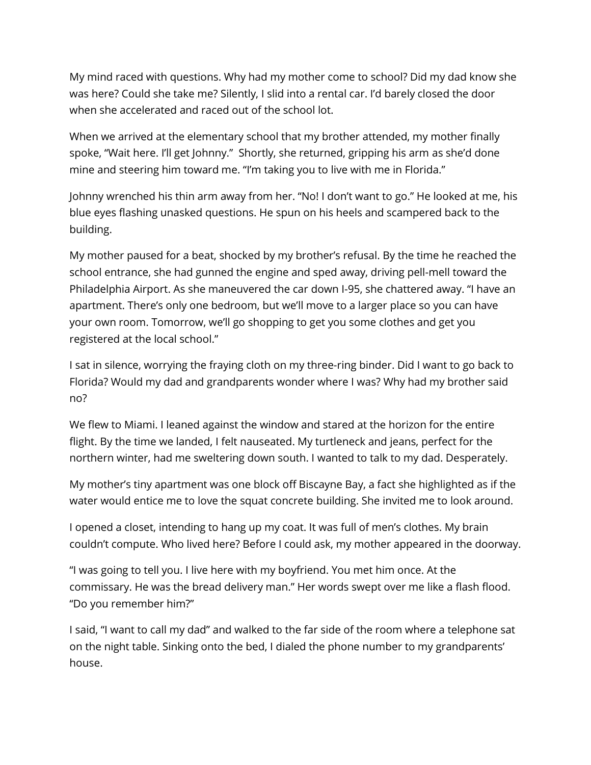My mind raced with questions. Why had my mother come to school? Did my dad know she was here? Could she take me? Silently, I slid into a rental car. I'd barely closed the door when she accelerated and raced out of the school lot.

When we arrived at the elementary school that my brother attended, my mother finally spoke, "Wait here. I'll get Johnny." Shortly, she returned, gripping his arm as she'd done mine and steering him toward me. "I'm taking you to live with me in Florida."

Johnny wrenched his thin arm away from her. "No! I don't want to go." He looked at me, his blue eyes flashing unasked questions. He spun on his heels and scampered back to the building.

My mother paused for a beat, shocked by my brother's refusal. By the time he reached the school entrance, she had gunned the engine and sped away, driving pell-mell toward the Philadelphia Airport. As she maneuvered the car down I-95, she chattered away. "I have an apartment. There's only one bedroom, but we'll move to a larger place so you can have your own room. Tomorrow, we'll go shopping to get you some clothes and get you registered at the local school."

I sat in silence, worrying the fraying cloth on my three-ring binder. Did I want to go back to Florida? Would my dad and grandparents wonder where I was? Why had my brother said no?

We flew to Miami. I leaned against the window and stared at the horizon for the entire flight. By the time we landed, I felt nauseated. My turtleneck and jeans, perfect for the northern winter, had me sweltering down south. I wanted to talk to my dad. Desperately.

My mother's tiny apartment was one block off Biscayne Bay, a fact she highlighted as if the water would entice me to love the squat concrete building. She invited me to look around.

I opened a closet, intending to hang up my coat. It was full of men's clothes. My brain couldn't compute. Who lived here? Before I could ask, my mother appeared in the doorway.

"I was going to tell you. I live here with my boyfriend. You met him once. At the commissary. He was the bread delivery man." Her words swept over me like a flash flood. "Do you remember him?"

I said, "I want to call my dad" and walked to the far side of the room where a telephone sat on the night table. Sinking onto the bed, I dialed the phone number to my grandparents' house.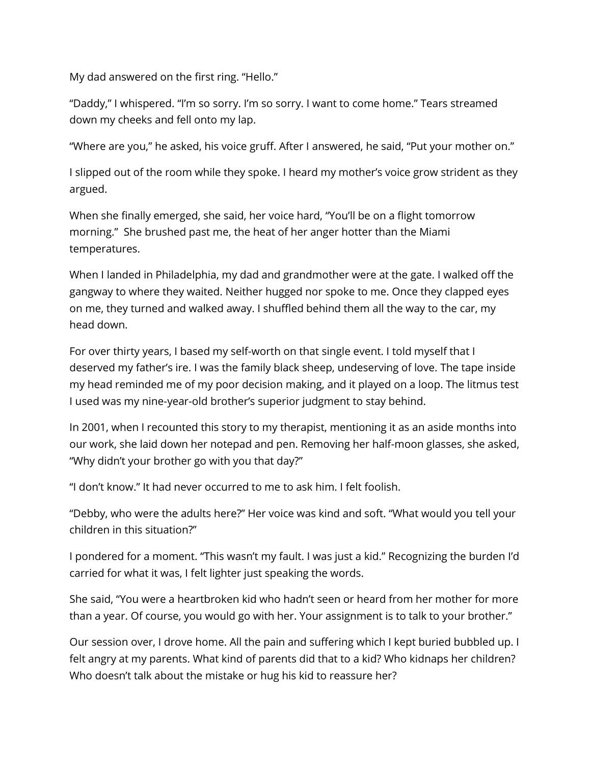My dad answered on the first ring. "Hello."

"Daddy," I whispered. "I'm so sorry. I'm so sorry. I want to come home." Tears streamed down my cheeks and fell onto my lap.

"Where are you," he asked, his voice gruff. After I answered, he said, "Put your mother on."

I slipped out of the room while they spoke. I heard my mother's voice grow strident as they argued.

When she finally emerged, she said, her voice hard, "You'll be on a flight tomorrow morning." She brushed past me, the heat of her anger hotter than the Miami temperatures.

When I landed in Philadelphia, my dad and grandmother were at the gate. I walked off the gangway to where they waited. Neither hugged nor spoke to me. Once they clapped eyes on me, they turned and walked away. I shuffled behind them all the way to the car, my head down.

For over thirty years, I based my self-worth on that single event. I told myself that I deserved my father's ire. I was the family black sheep, undeserving of love. The tape inside my head reminded me of my poor decision making, and it played on a loop. The litmus test I used was my nine-year-old brother's superior judgment to stay behind.

In 2001, when I recounted this story to my therapist, mentioning it as an aside months into our work, she laid down her notepad and pen. Removing her half-moon glasses, she asked, "Why didn't your brother go with you that day?"

"I don't know." It had never occurred to me to ask him. I felt foolish.

"Debby, who were the adults here?" Her voice was kind and soft. "What would you tell your children in this situation?"

I pondered for a moment. "This wasn't my fault. I was just a kid." Recognizing the burden I'd carried for what it was, I felt lighter just speaking the words.

She said, "You were a heartbroken kid who hadn't seen or heard from her mother for more than a year. Of course, you would go with her. Your assignment is to talk to your brother."

Our session over, I drove home. All the pain and suffering which I kept buried bubbled up. I felt angry at my parents. What kind of parents did that to a kid? Who kidnaps her children? Who doesn't talk about the mistake or hug his kid to reassure her?